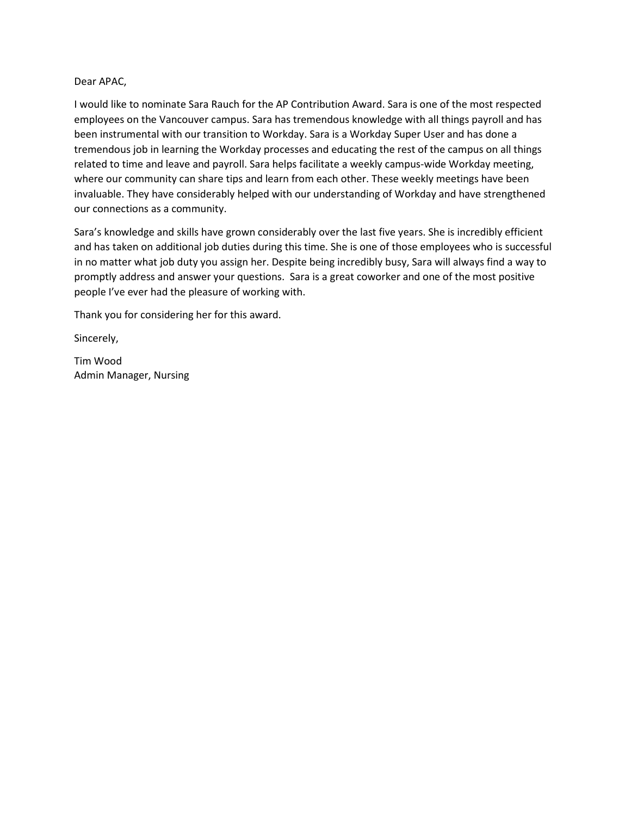## Dear APAC,

I would like to nominate Sara Rauch for the AP Contribution Award. Sara is one of the most respected employees on the Vancouver campus. Sara has tremendous knowledge with all things payroll and has been instrumental with our transition to Workday. Sara is a Workday Super User and has done a tremendous job in learning the Workday processes and educating the rest of the campus on all things related to time and leave and payroll. Sara helps facilitate a weekly campus-wide Workday meeting, where our community can share tips and learn from each other. These weekly meetings have been invaluable. They have considerably helped with our understanding of Workday and have strengthened our connections as a community.

Sara's knowledge and skills have grown considerably over the last five years. She is incredibly efficient and has taken on additional job duties during this time. She is one of those employees who is successful in no matter what job duty you assign her. Despite being incredibly busy, Sara will always find a way to promptly address and answer your questions. Sara is a great coworker and one of the most positive people I've ever had the pleasure of working with.

Thank you for considering her for this award.

Sincerely,

Tim Wood Admin Manager, Nursing